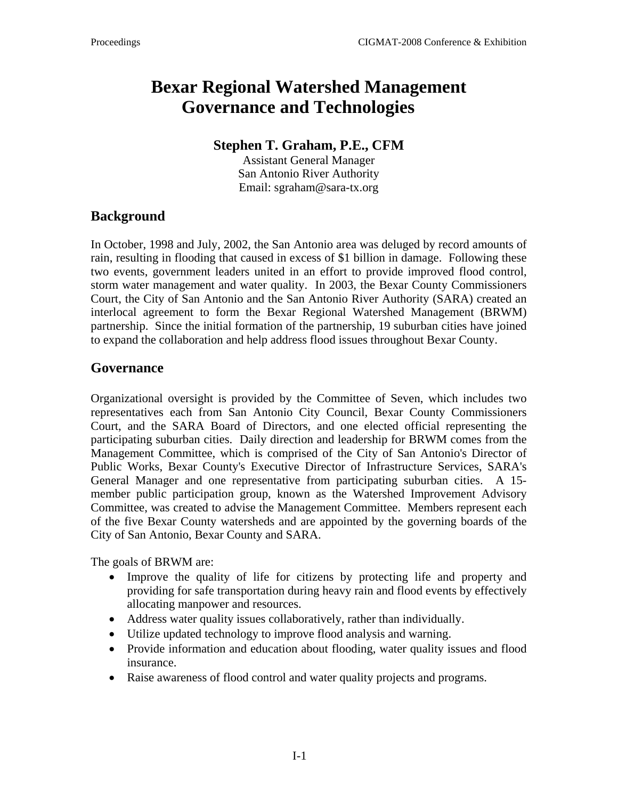# **Bexar Regional Watershed Management Governance and Technologies**

#### **Stephen T. Graham, P.E., CFM**

Assistant General Manager San Antonio River Authority Email: sgraham@sara-tx.org

## **Background**

In October, 1998 and July, 2002, the San Antonio area was deluged by record amounts of rain, resulting in flooding that caused in excess of \$1 billion in damage. Following these two events, government leaders united in an effort to provide improved flood control, storm water management and water quality. In 2003, the Bexar County Commissioners Court, the City of San Antonio and the San Antonio River Authority (SARA) created an interlocal agreement to form the Bexar Regional Watershed Management (BRWM) partnership. Since the initial formation of the partnership, 19 suburban cities have joined to expand the collaboration and help address flood issues throughout Bexar County.

#### **Governance**

Organizational oversight is provided by the Committee of Seven, which includes two representatives each from San Antonio City Council, Bexar County Commissioners Court, and the SARA Board of Directors, and one elected official representing the participating suburban cities. Daily direction and leadership for BRWM comes from the Management Committee, which is comprised of the City of San Antonio's Director of Public Works, Bexar County's Executive Director of Infrastructure Services, SARA's General Manager and one representative from participating suburban cities. A 15 member public participation group, known as the Watershed Improvement Advisory Committee, was created to advise the Management Committee. Members represent each of the five Bexar County watersheds and are appointed by the governing boards of the City of San Antonio, Bexar County and SARA.

The goals of BRWM are:

- Improve the quality of life for citizens by protecting life and property and providing for safe transportation during heavy rain and flood events by effectively allocating manpower and resources.
- Address water quality issues collaboratively, rather than individually.
- Utilize updated technology to improve flood analysis and warning.
- Provide information and education about flooding, water quality issues and flood insurance.
- Raise awareness of flood control and water quality projects and programs.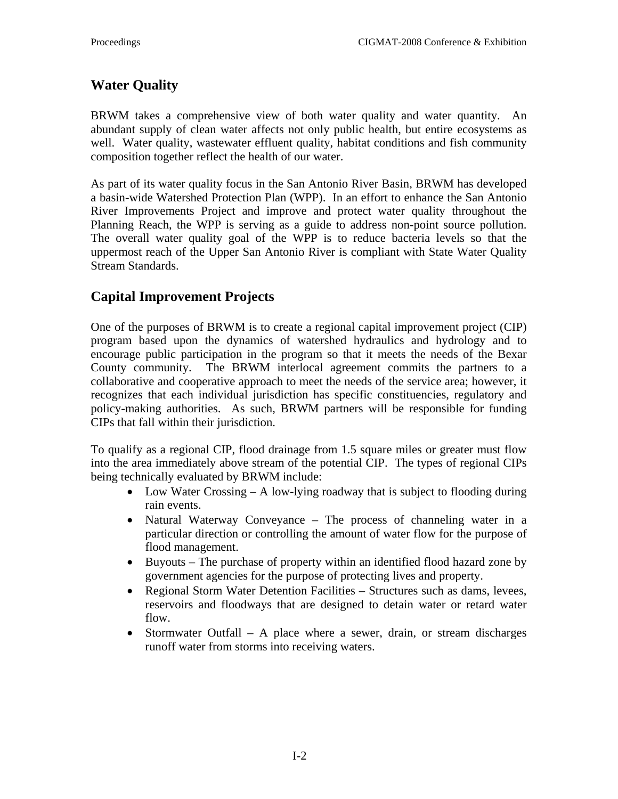## **Water Quality**

BRWM takes a comprehensive view of both water quality and water quantity. An abundant supply of clean water affects not only public health, but entire ecosystems as well. Water quality, wastewater effluent quality, habitat conditions and fish community composition together reflect the health of our water.

As part of its water quality focus in the San Antonio River Basin, BRWM has developed a basin-wide Watershed Protection Plan (WPP). In an effort to enhance the San Antonio River Improvements Project and improve and protect water quality throughout the Planning Reach, the WPP is serving as a guide to address non-point source pollution. The overall water quality goal of the WPP is to reduce bacteria levels so that the uppermost reach of the Upper San Antonio River is compliant with State Water Quality Stream Standards.

### **Capital Improvement Projects**

One of the purposes of BRWM is to create a regional capital improvement project (CIP) program based upon the dynamics of watershed hydraulics and hydrology and to encourage public participation in the program so that it meets the needs of the Bexar County community. The BRWM interlocal agreement commits the partners to a collaborative and cooperative approach to meet the needs of the service area; however, it recognizes that each individual jurisdiction has specific constituencies, regulatory and policy-making authorities. As such, BRWM partners will be responsible for funding CIPs that fall within their jurisdiction.

To qualify as a regional CIP, flood drainage from 1.5 square miles or greater must flow into the area immediately above stream of the potential CIP. The types of regional CIPs being technically evaluated by BRWM include:

- Low Water Crossing A low-lying roadway that is subject to flooding during rain events.
- Natural Waterway Conveyance The process of channeling water in a particular direction or controlling the amount of water flow for the purpose of flood management.
- Buyouts The purchase of property within an identified flood hazard zone by government agencies for the purpose of protecting lives and property.
- Regional Storm Water Detention Facilities Structures such as dams, levees, reservoirs and floodways that are designed to detain water or retard water flow.
- Stormwater Outfall A place where a sewer, drain, or stream discharges runoff water from storms into receiving waters.